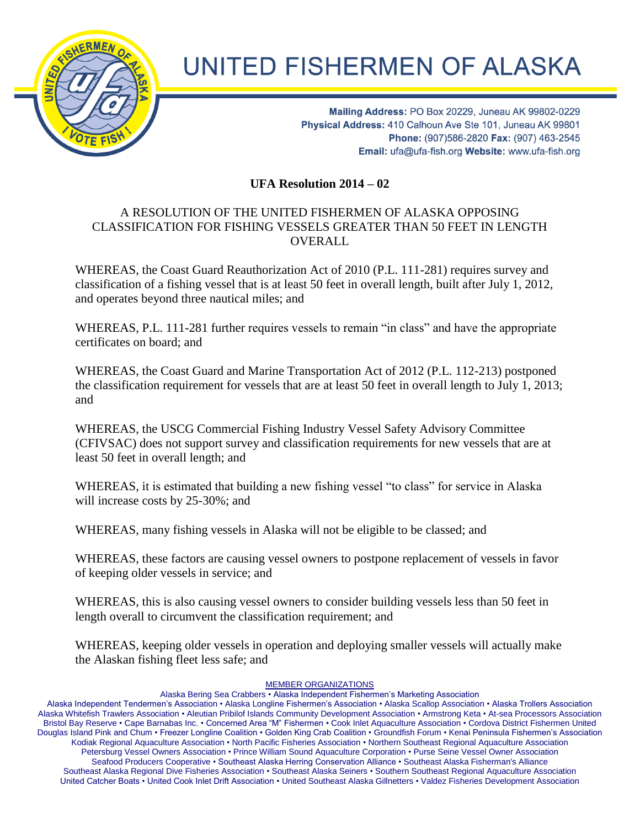

## **UNITED FISHERMEN OF ALASKA**

Mailing Address: PO Box 20229, Juneau AK 99802-0229 Physical Address: 410 Calhoun Ave Ste 101, Juneau AK 99801 Phone: (907)586-2820 Fax: (907) 463-2545 Email: ufa@ufa-fish.org Website: www.ufa-fish.org

**UFA Resolution 2014 – 02**

## A RESOLUTION OF THE UNITED FISHERMEN OF ALASKA OPPOSING CLASSIFICATION FOR FISHING VESSELS GREATER THAN 50 FEET IN LENGTH OVERALL

WHEREAS, the Coast Guard Reauthorization Act of 2010 (P.L. 111-281) requires survey and classification of a fishing vessel that is at least 50 feet in overall length, built after July 1, 2012, and operates beyond three nautical miles; and

WHEREAS, P.L. 111-281 further requires vessels to remain "in class" and have the appropriate certificates on board; and

WHEREAS, the Coast Guard and Marine Transportation Act of 2012 (P.L. 112-213) postponed the classification requirement for vessels that are at least 50 feet in overall length to July 1, 2013; and

WHEREAS, the USCG Commercial Fishing Industry Vessel Safety Advisory Committee (CFIVSAC) does not support survey and classification requirements for new vessels that are at least 50 feet in overall length; and

WHEREAS, it is estimated that building a new fishing vessel "to class" for service in Alaska will increase costs by 25-30%; and

WHEREAS, many fishing vessels in Alaska will not be eligible to be classed; and

WHEREAS, these factors are causing vessel owners to postpone replacement of vessels in favor of keeping older vessels in service; and

WHEREAS, this is also causing vessel owners to consider building vessels less than 50 feet in length overall to circumvent the classification requirement; and

WHEREAS, keeping older vessels in operation and deploying smaller vessels will actually make the Alaskan fishing fleet less safe; and

## MEMBER ORGANIZATIONS

Alaska Bering Sea Crabbers • Alaska Independent Fishermen's Marketing Association

Alaska Independent Tendermen's Association • Alaska Longline Fishermen's Association • Alaska Scallop Association • Alaska Trollers Association Alaska Whitefish Trawlers Association • Aleutian Pribilof Islands Community Development Association • Armstrong Keta • At-sea Processors Association Bristol Bay Reserve • Cape Barnabas Inc. • Concerned Area "M" Fishermen • Cook Inlet Aquaculture Association • Cordova District Fishermen United Douglas Island Pink and Chum • Freezer Longline Coalition • Golden King Crab Coalition • Groundfish Forum • Kenai Peninsula Fishermen's Association Kodiak Regional Aquaculture Association • North Pacific Fisheries Association • Northern Southeast Regional Aquaculture Association Petersburg Vessel Owners Association • Prince William Sound Aquaculture Corporation • Purse Seine Vessel Owner Association Seafood Producers Cooperative • Southeast Alaska Herring Conservation Alliance • Southeast Alaska Fisherman's Alliance Southeast Alaska Regional Dive Fisheries Association • Southeast Alaska Seiners • Southern Southeast Regional Aquaculture Association United Catcher Boats • United Cook Inlet Drift Association • United Southeast Alaska Gillnetters • Valdez Fisheries Development Association